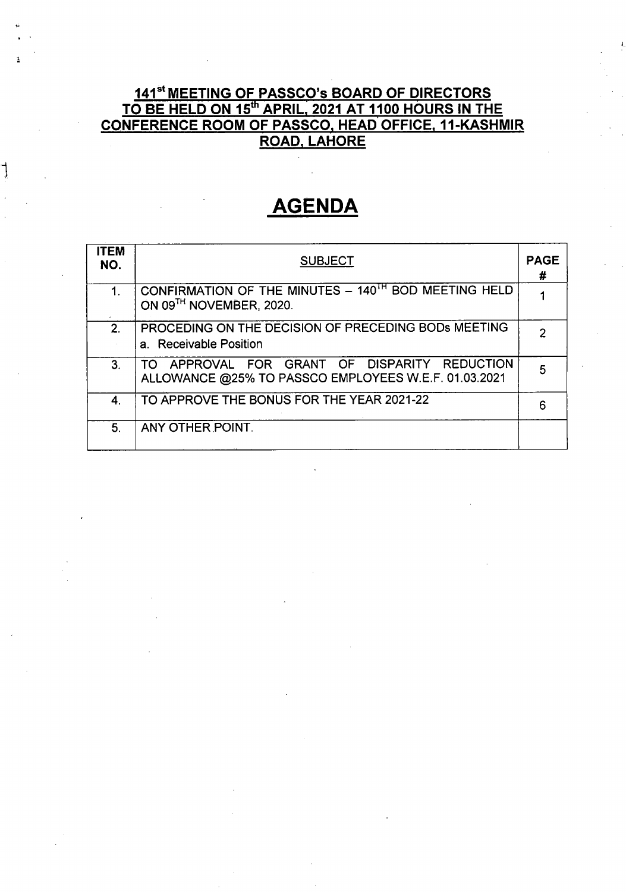## <u>141<sup>st</sup> MEETING OF PASSCO's BOARD OF DIRECTORS</u> TO BE HELD ON 15th APRIL, 2021 AT 1100 HOURS IN THE CONFERENCE ROOM OF PASSCO, HEAD OFFICE, 11-KASHMIR ROAD, LAHORE

L

# **AGENDA**

٦

| <b>ITEM</b><br>NO. | <b>SUBJECT</b>                                                                                           | <b>PAGE</b><br># |
|--------------------|----------------------------------------------------------------------------------------------------------|------------------|
| 1.                 | CONFIRMATION OF THE MINUTES - 140 <sup>TH</sup> BOD MEETING HELD<br>ON 09TH NOVEMBER, 2020.              |                  |
| 2.                 | PROCEDING ON THE DECISION OF PRECEDING BODS MEETING<br>a. Receivable Position                            |                  |
| 3 <sub>1</sub>     | APPROVAL FOR GRANT OF DISPARITY REDUCTION<br>TO.<br>ALLOWANCE @25% TO PASSCO EMPLOYEES W.E.F. 01.03.2021 | 5                |
| 4.                 | TO APPROVE THE BONUS FOR THE YEAR 2021-22                                                                | 6                |
| 5.                 | ANY OTHER POINT.                                                                                         |                  |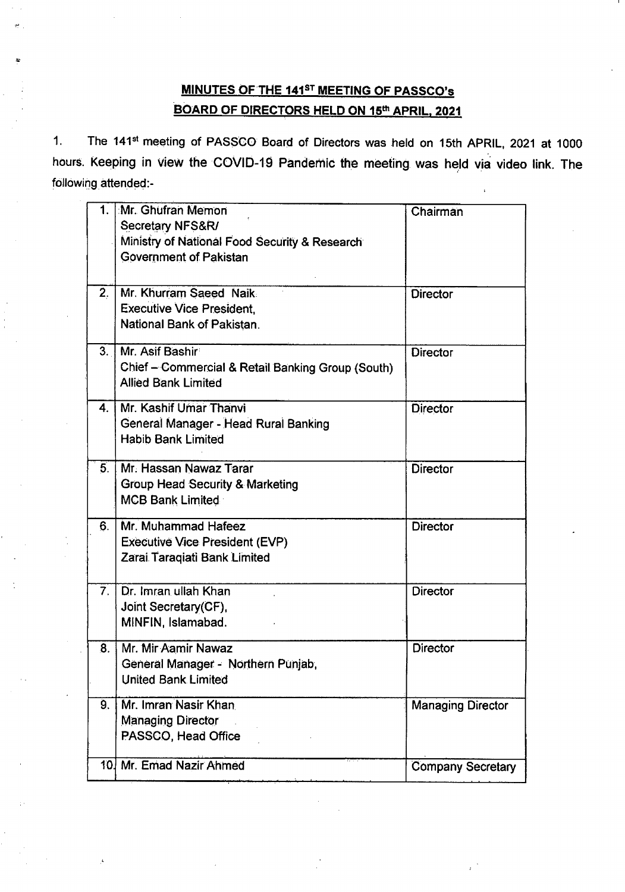## MINUTES OF THE 141<sup>ST</sup> MEETING OF PASSCO's BOARD OF DIRECTORS HELD ON 15th APRIL, 2021

,"

1. The 141<sup>st</sup> meeting of PASSCO Board of Directors was held on 15th APRIL, 2021 at 1000 hours. Keeping in view the COVID-19 Pandemic the meeting was held via video link. The following attended:-

|                | 1. Mr. Ghufran Memon<br>Secretary NFS&R/<br>Ministry of National Food Security & Research<br><b>Government of Pakistan</b> | Chairman                 |
|----------------|----------------------------------------------------------------------------------------------------------------------------|--------------------------|
| 2.             | Mr. Khurram Saeed Naik<br><b>Executive Vice President.</b><br>National Bank of Pakistan.                                   | <b>Director</b>          |
| 3.1            | Mr. Asif Bashir<br>Chief - Commercial & Retail Banking Group (South)<br><b>Allied Bank Limited</b>                         | <b>Director</b>          |
| 4.             | Mr. Kashif Umar Thanvi<br>General Manager - Head Rural Banking<br><b>Habib Bank Limited</b>                                | <b>Director</b>          |
| 5 <sub>1</sub> | Mr. Hassan Nawaz Tarar<br>Group Head Security & Marketing<br><b>MCB Bank Limited</b>                                       | <b>Director</b>          |
| 6.             | Mr. Muhammad Hafeez<br><b>Executive Vice President (EVP)</b><br>Zarai Taraqiati Bank Limited                               | <b>Director</b>          |
| 7 <sub>1</sub> | Dr. Imran ullah Khan<br>Joint Secretary (CF),<br>MINFIN, Islamabad.                                                        | <b>Director</b>          |
| 8.             | Mr. Mir Aamir Nawaz<br>General Manager - Northern Punjab,<br>United Bank Limited                                           | <b>Director</b>          |
| 9.             | Mr. Imran Nasir Khan<br><b>Managing Director</b><br>PASSCO, Head Office                                                    | <b>Managing Director</b> |
|                | 10. Mr. Emad Nazir Ahmed                                                                                                   | <b>Company Secretary</b> |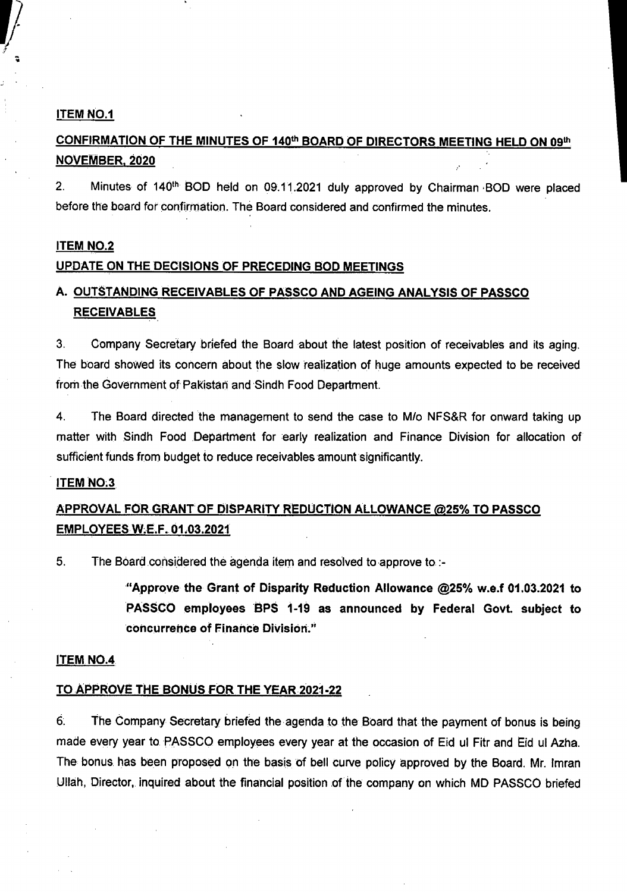#### ITEM NO.1

## CONFIRMATION OF THE MINUTES OF 140th BOARD OF DIRECTORS MEETING HELD ON 09th NOVEMBER, 2020

2. Minutes of 140<sup>th</sup> BOD held on 09.11.2021 duly approved by Chairman BOD were placed before the board for confirmation. The Board considered and confirmed the minutes.

#### **ITEM NO.2**

#### UPDATE ON THE DECISIONS OF PRECEDING BOD MEETINGS

## A. OUTSTANDING RECEIVABLES OF PASSCO AND AGEING ANALYSIS OF PASSCO **RECEIVABLES**

3. Company Secretary briefed the Board about the latest position of receivables and its aging. The board showed its concern about the slow realization of huge amounts expected to be received from the Government of Pakistan and Sindh Food Department.

4. The Board directed the management to send the case to *Mlo* NFS&R for onward taking up matter with Sindh Food .Department for early realization and Finance Division for allocation of sufficient funds from budget to reduce receivables amount significantly.

#### **ITEM NO.3**

## APPROVAL FOR GRANT OF DISPARITY ReDUCTION ALLOWANCE@25%TOPASSeO EMPLOYEES W£.F. 01.03.2021

5. The Board considered the agenda item and resolved to approve to :-

"Approve the Grant of Disparity Reduction Allowance @25% w.e.f 01.03.2021 to PASSCO employees BPS 1-19 as announced by Federal Govt. subject to concurrence of Finance Division."

#### ITEM NO.4

#### TO APPROVE THE BONUS FOR THE YEAR 2021-22

6~ The Company Secretary briefed the agenda to the Board that the payment of bonus is being made every year to PASSCO employees every year at the occasion of Eid ul Fitr and Eid ul Azha. The bonus. has been proposed on the basis of bell curve policy approved by the Board. Mr. Imran Ullah, Director, inquired about the financial position of the company on which MD PASSCO briefed